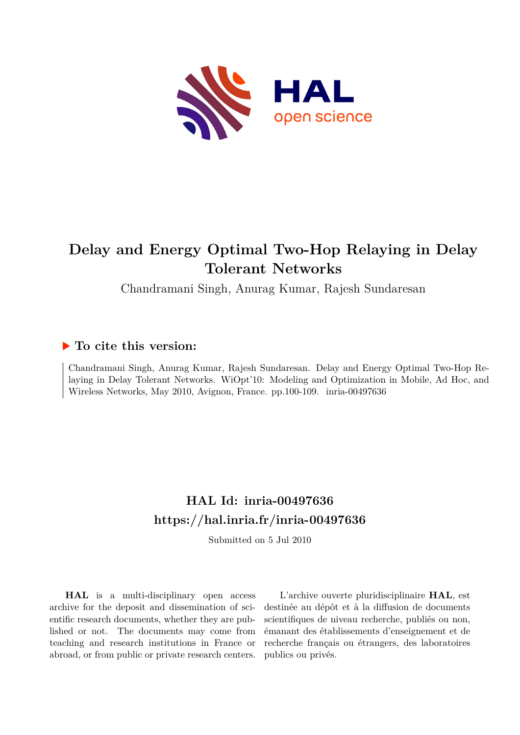

## **Delay and Energy Optimal Two-Hop Relaying in Delay Tolerant Networks**

Chandramani Singh, Anurag Kumar, Rajesh Sundaresan

### **To cite this version:**

Chandramani Singh, Anurag Kumar, Rajesh Sundaresan. Delay and Energy Optimal Two-Hop Relaying in Delay Tolerant Networks. WiOpt'10: Modeling and Optimization in Mobile, Ad Hoc, and Wireless Networks, May 2010, Avignon, France. pp.100-109. inria-00497636

## **HAL Id: inria-00497636 <https://hal.inria.fr/inria-00497636>**

Submitted on 5 Jul 2010

**HAL** is a multi-disciplinary open access archive for the deposit and dissemination of scientific research documents, whether they are published or not. The documents may come from teaching and research institutions in France or abroad, or from public or private research centers.

L'archive ouverte pluridisciplinaire **HAL**, est destinée au dépôt et à la diffusion de documents scientifiques de niveau recherche, publiés ou non, émanant des établissements d'enseignement et de recherche français ou étrangers, des laboratoires publics ou privés.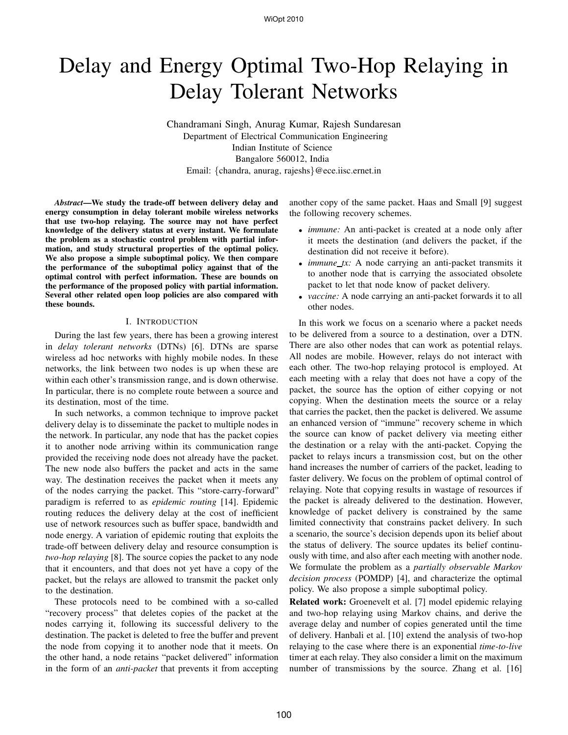# Delay and Energy Optimal Two-Hop Relaying in Delay Tolerant Networks

Chandramani Singh, Anurag Kumar, Rajesh Sundaresan Department of Electrical Communication Engineering Indian Institute of Science Bangalore 560012, India Email: {chandra, anurag, rajeshs}@ece.iisc.ernet.in

*Abstract***—We study the trade-off between delivery delay and energy consumption in delay tolerant mobile wireless networks that use two-hop relaying. The source may not have perfect knowledge of the delivery status at every instant. We formulate the problem as a stochastic control problem with partial information, and study structural properties of the optimal policy. We also propose a simple suboptimal policy. We then compare the performance of the suboptimal policy against that of the optimal control with perfect information. These are bounds on the performance of the proposed policy with partial information. Several other related open loop policies are also compared with these bounds.**

#### I. INTRODUCTION

During the last few years, there has been a growing interest in *delay tolerant networks* (DTNs) [6]. DTNs are sparse wireless ad hoc networks with highly mobile nodes. In these networks, the link between two nodes is up when these are within each other's transmission range, and is down otherwise. In particular, there is no complete route between a source and its destination, most of the time.

In such networks, a common technique to improve packet delivery delay is to disseminate the packet to multiple nodes in the network. In particular, any node that has the packet copies it to another node arriving within its communication range provided the receiving node does not already have the packet. The new node also buffers the packet and acts in the same way. The destination receives the packet when it meets any of the nodes carrying the packet. This "store-carry-forward" paradigm is referred to as *epidemic routing* [14]. Epidemic routing reduces the delivery delay at the cost of inefficient use of network resources such as buffer space, bandwidth and node energy. A variation of epidemic routing that exploits the trade-off between delivery delay and resource consumption is *two-hop relaying* [8]. The source copies the packet to any node that it encounters, and that does not yet have a copy of the packet, but the relays are allowed to transmit the packet only to the destination.

These protocols need to be combined with a so-called "recovery process" that deletes copies of the packet at the nodes carrying it, following its successful delivery to the destination. The packet is deleted to free the buffer and prevent the node from copying it to another node that it meets. On the other hand, a node retains "packet delivered" information in the form of an *anti-packet* that prevents it from accepting

another copy of the same packet. Haas and Small [9] suggest the following recovery schemes.

- *immune:* An anti-packet is created at a node only after it meets the destination (and delivers the packet, if the destination did not receive it before).
- *immune\_tx:* A node carrying an anti-packet transmits it to another node that is carrying the associated obsolete packet to let that node know of packet delivery.
- *vaccine:* A node carrying an anti-packet forwards it to all other nodes.

In this work we focus on a scenario where a packet needs to be delivered from a source to a destination, over a DTN. There are also other nodes that can work as potential relays. All nodes are mobile. However, relays do not interact with each other. The two-hop relaying protocol is employed. At each meeting with a relay that does not have a copy of the packet, the source has the option of either copying or not copying. When the destination meets the source or a relay that carries the packet, then the packet is delivered. We assume an enhanced version of "immune" recovery scheme in which the source can know of packet delivery via meeting either the destination or a relay with the anti-packet. Copying the packet to relays incurs a transmission cost, but on the other hand increases the number of carriers of the packet, leading to faster delivery. We focus on the problem of optimal control of relaying. Note that copying results in wastage of resources if the packet is already delivered to the destination. However, knowledge of packet delivery is constrained by the same limited connectivity that constrains packet delivery. In such a scenario, the source's decision depends upon its belief about the status of delivery. The source updates its belief continuously with time, and also after each meeting with another node. We formulate the problem as a *partially observable Markov decision process* (POMDP) [4], and characterize the optimal policy. We also propose a simple suboptimal policy.

**Related work:** Groenevelt et al. [7] model epidemic relaying and two-hop relaying using Markov chains, and derive the average delay and number of copies generated until the time of delivery. Hanbali et al. [10] extend the analysis of two-hop relaying to the case where there is an exponential *time-to-live* timer at each relay. They also consider a limit on the maximum number of transmissions by the source. Zhang et al. [16]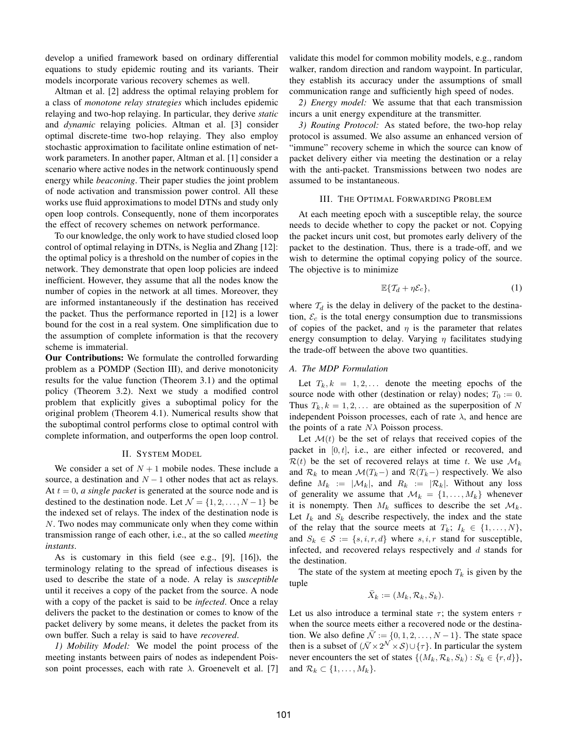develop a unified framework based on ordinary differential equations to study epidemic routing and its variants. Their models incorporate various recovery schemes as well.

Altman et al. [2] address the optimal relaying problem for a class of *monotone relay strategies* which includes epidemic relaying and two-hop relaying. In particular, they derive *static* and *dynamic* relaying policies. Altman et al. [3] consider optimal discrete-time two-hop relaying. They also employ stochastic approximation to facilitate online estimation of network parameters. In another paper, Altman et al. [1] consider a scenario where active nodes in the network continuously spend energy while *beaconing*. Their paper studies the joint problem of node activation and transmission power control. All these works use fluid approximations to model DTNs and study only open loop controls. Consequently, none of them incorporates the effect of recovery schemes on network performance.

To our knowledge, the only work to have studied closed loop control of optimal relaying in DTNs, is Neglia and Zhang [12]: the optimal policy is a threshold on the number of copies in the network. They demonstrate that open loop policies are indeed inefficient. However, they assume that all the nodes know the number of copies in the network at all times. Moreover, they are informed instantaneously if the destination has received the packet. Thus the performance reported in [12] is a lower bound for the cost in a real system. One simplification due to the assumption of complete information is that the recovery scheme is immaterial.

**Our Contributions:** We formulate the controlled forwarding problem as a POMDP (Section III), and derive monotonicity results for the value function (Theorem 3.1) and the optimal policy (Theorem 3.2). Next we study a modified control problem that explicitly gives a suboptimal policy for the original problem (Theorem 4.1). Numerical results show that the suboptimal control performs close to optimal control with complete information, and outperforms the open loop control.

#### II. SYSTEM MODEL

We consider a set of  $N + 1$  mobile nodes. These include a source, a destination and  $N - 1$  other nodes that act as relays. At  $t = 0$ , *a single packet* is generated at the source node and is destined to the destination node. Let  $\mathcal{N} = \{1, 2, \ldots, N - 1\}$  be the indexed set of relays. The index of the destination node is N. Two nodes may communicate only when they come within transmission range of each other, i.e., at the so called *meeting instants*.

As is customary in this field (see e.g., [9], [16]), the terminology relating to the spread of infectious diseases is used to describe the state of a node. A relay is *susceptible* until it receives a copy of the packet from the source. A node with a copy of the packet is said to be *infected*. Once a relay delivers the packet to the destination or comes to know of the packet delivery by some means, it deletes the packet from its own buffer. Such a relay is said to have *recovered*.

*1) Mobility Model:* We model the point process of the meeting instants between pairs of nodes as independent Poisson point processes, each with rate  $\lambda$ . Groenevelt et al. [7]

validate this model for common mobility models, e.g., random walker, random direction and random waypoint. In particular, they establish its accuracy under the assumptions of small communication range and sufficiently high speed of nodes.

*2) Energy model:* We assume that that each transmission incurs a unit energy expenditure at the transmitter.

*3) Routing Protocol:* As stated before, the two-hop relay protocol is assumed. We also assume an enhanced version of "immune" recovery scheme in which the source can know of packet delivery either via meeting the destination or a relay with the anti-packet. Transmissions between two nodes are assumed to be instantaneous.

#### III. THE OPTIMAL FORWARDING PROBLEM

At each meeting epoch with a susceptible relay, the source needs to decide whether to copy the packet or not. Copying the packet incurs unit cost, but promotes early delivery of the packet to the destination. Thus, there is a trade-off, and we wish to determine the optimal copying policy of the source. The objective is to minimize

$$
\mathbb{E}\{\mathcal{T}_d + \eta \mathcal{E}_c\},\tag{1}
$$

where  $T_d$  is the delay in delivery of the packet to the destination,  $\mathcal{E}_c$  is the total energy consumption due to transmissions of copies of the packet, and  $\eta$  is the parameter that relates energy consumption to delay. Varying  $\eta$  facilitates studying the trade-off between the above two quantities.

#### *A. The MDP Formulation*

Let  $T_k, k = 1, 2, \ldots$  denote the meeting epochs of the source node with other (destination or relay) nodes;  $T_0 := 0$ . Thus  $T_k, k = 1, 2, \ldots$  are obtained as the superposition of N independent Poisson processes, each of rate  $\lambda$ , and hence are the points of a rate  $N\lambda$  Poisson process.

Let  $\mathcal{M}(t)$  be the set of relays that received copies of the packet in  $[0, t]$ , i.e., are either infected or recovered, and  $\mathcal{R}(t)$  be the set of recovered relays at time t. We use  $\mathcal{M}_k$ and  $\mathcal{R}_k$  to mean  $\mathcal{M}(T_k-)$  and  $\mathcal{R}(T_k-)$  respectively. We also define  $M_k := |\mathcal{M}_k|$ , and  $R_k := |\mathcal{R}_k|$ . Without any loss of generality we assume that  $\mathcal{M}_k = \{1, \ldots, M_k\}$  whenever it is nonempty. Then  $M_k$  suffices to describe the set  $\mathcal{M}_k$ . Let  $I_k$  and  $S_k$  describe respectively, the index and the state of the relay that the source meets at  $T_k$ ;  $I_k \in \{1, \ldots, N\}$ , and  $S_k \in \mathcal{S} := \{s, i, r, d\}$  where  $s, i, r$  stand for susceptible, infected, and recovered relays respectively and  $d$  stands for the destination.

The state of the system at meeting epoch  $T_k$  is given by the tuple

$$
\bar{X}_k := (M_k, \mathcal{R}_k, S_k).
$$

Let us also introduce a terminal state  $\tau$ ; the system enters  $\tau$ when the source meets either a recovered node or the destination. We also define  $\overline{N} := \{0, 1, 2, \ldots, N - 1\}$ . The state space then is a subset of  $(\bar{\mathcal{N}} \times 2^{\mathcal{N}} \times \mathcal{S}) \cup {\tau}$ . In particular the system never encounters the set of states  $\{(M_k, \mathcal{R}_k, S_k) : S_k \in \{r, d\}\},\$ and  $\mathcal{R}_k \subset \{1, \ldots, M_k\}.$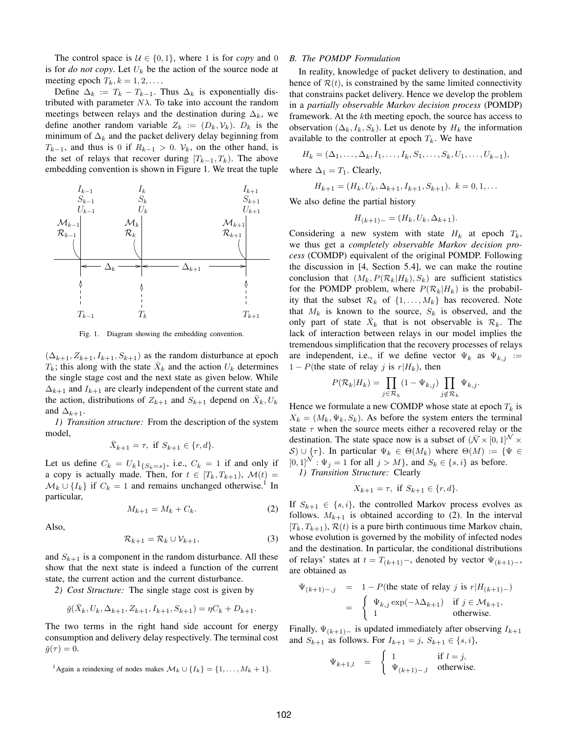The control space is  $U \in \{0, 1\}$ , where 1 is for *copy* and 0 is for *do not copy*. Let  $U_k$  be the action of the source node at meeting epoch  $T_k$ ,  $k = 1, 2, \ldots$ .

Define  $\Delta_k := T_k - T_{k-1}$ . Thus  $\Delta_k$  is exponentially distributed with parameter  $N\lambda$ . To take into account the random meetings between relays and the destination during  $\Delta_k$ , we define another random variable  $Z_k := (D_k, \mathcal{V}_k)$ .  $D_k$  is the minimum of  $\Delta_k$  and the packet delivery delay beginning from  $T_{k-1}$ , and thus is 0 if  $R_{k-1} > 0$ .  $\mathcal{V}_k$ , on the other hand, is the set of relays that recover during  $[T_{k-1}, T_k)$ . The above embedding convention is shown in Figure 1. We treat the tuple



Fig. 1. Diagram showing the embedding convention.

 $(\Delta_{k+1}, Z_{k+1}, I_{k+1}, S_{k+1})$  as the random disturbance at epoch  $T_k$ ; this along with the state  $\bar{X}_k$  and the action  $U_k$  determines the single stage cost and the next state as given below. While  $\Delta_{k+1}$  and  $I_{k+1}$  are clearly independent of the current state and the action, distributions of  $Z_{k+1}$  and  $S_{k+1}$  depend on  $\bar{X}_k, U_k$ and  $\Delta_{k+1}$ .

*1) Transition structure:* From the description of the system model,

$$
\bar X_{k+1}=\tau, \text{ if } S_{k+1}\in \{r,d\}.
$$

Let us define  $C_k = U_k \mathbb{1}_{\{S_k = s\}}$ , i.e.,  $C_k = 1$  if and only if a copy is actually made. Then, for  $t \in [T_k, T_{k+1}), \mathcal{M}(t) =$  $\mathcal{M}_k \cup \{I_k\}$  if  $C_k = 1$  and remains unchanged otherwise.<sup>1</sup> In particular,

$$
M_{k+1} = M_k + C_k. \tag{2}
$$

Also,

$$
\mathcal{R}_{k+1} = \mathcal{R}_k \cup \mathcal{V}_{k+1},\tag{3}
$$

and  $S_{k+1}$  is a component in the random disturbance. All these show that the next state is indeed a function of the current state, the current action and the current disturbance.

*2) Cost Structure:* The single stage cost is given by

$$
\bar{g}(\bar{X}_k, U_k, \Delta_{k+1}, Z_{k+1}, I_{k+1}, S_{k+1}) = \eta C_k + D_{k+1}.
$$

The two terms in the right hand side account for energy consumption and delivery delay respectively. The terminal cost  $\bar{g}(\tau ) = 0.$ 

#### *B. The POMDP Formulation*

In reality, knowledge of packet delivery to destination, and hence of  $\mathcal{R}(t)$ , is constrained by the same limited connectivity that constrains packet delivery. Hence we develop the problem in a *partially observable Markov decision process* (POMDP) framework. At the kth meeting epoch, the source has access to observation ( $\Delta_k$ ,  $I_k$ ,  $S_k$ ). Let us denote by  $H_k$  the information available to the controller at epoch  $T_k$ . We have

$$
H_k = (\Delta_1, \ldots, \Delta_k, I_1, \ldots, I_k, S_1, \ldots, S_k, U_1, \ldots, U_{k-1}),
$$

where  $\Delta_1 = T_1$ . Clearly,

$$
H_{k+1} = (H_k, U_k, \Delta_{k+1}, I_{k+1}, S_{k+1}), \ k = 0, 1, \dots
$$

We also define the partial history

$$
H_{(k+1)-} = (H_k, U_k, \Delta_{k+1}).
$$

Considering a new system with state  $H_k$  at epoch  $T_k$ , we thus get a *completely observable Markov decision process* (COMDP) equivalent of the original POMDP. Following the discussion in [4, Section 5.4], we can make the routine conclusion that  $(M_k, P(\mathcal{R}_k|H_k), S_k)$  are sufficient statistics for the POMDP problem, where  $P(\mathcal{R}_k|H_k)$  is the probability that the subset  $\mathcal{R}_k$  of  $\{1, \ldots, M_k\}$  has recovered. Note that  $M_k$  is known to the source,  $S_k$  is observed, and the only part of state  $\bar{X}_k$  that is not observable is  $\mathcal{R}_k$ . The lack of interaction between relays in our model implies the tremendous simplification that the recovery processes of relays are independent, i.e., if we define vector  $\Psi_k$  as  $\Psi_{k,j}$  := 1 – P(the state of relay j is  $r|H_k$ ), then

$$
P(\mathcal{R}_k|H_k) = \prod_{j \in \mathcal{R}_k} (1 - \Psi_{k,j}) \prod_{j \notin \mathcal{R}_k} \Psi_{k,j}.
$$

Hence we formulate a new COMDP whose state at epoch  $T_k$  is  $X_k = (M_k, \Psi_k, S_k)$ . As before the system enters the terminal state  $\tau$  when the source meets either a recovered relay or the destination. The state space now is a subset of  $(\bar{N} \times [0, 1]^N \times$ S)  $\cup$  { $\tau$ }. In particular  $\Psi_k \in \Theta(M_k)$  where  $\Theta(M) := {\Psi \in \Theta(M)}$  $[0, 1]^N : \Psi_i = 1$  for all  $j > M$ , and  $S_k \in \{s, i\}$  as before.

*1) Transition Structure:* Clearly

$$
X_{k+1} = \tau, \text{ if } S_{k+1} \in \{r, d\}.
$$

If  $S_{k+1} \in \{s, i\}$ , the controlled Markov process evolves as follows.  $M_{k+1}$  is obtained according to (2). In the interval  $[T_k, T_{k+1}), \mathcal{R}(t)$  is a pure birth continuous time Markov chain, whose evolution is governed by the mobility of infected nodes and the destination. In particular, the conditional distributions of relays' states at  $t = T_{(k+1)}$ , denoted by vector  $\Psi_{(k+1)}$ , are obtained as

$$
\Psi_{(k+1)-,j} = 1 - P(\text{the state of relay } j \text{ is } r | H_{(k+1)-})
$$
\n
$$
= \begin{cases} \Psi_{k,j} \exp(-\lambda \Delta_{k+1}) & \text{if } j \in \mathcal{M}_{k+1}, \\ 1 & \text{otherwise.} \end{cases}
$$

Finally,  $\Psi_{(k+1)-}$  is updated immediately after observing  $I_{k+1}$ and  $S_{k+1}$  as follows. For  $I_{k+1} = j$ ,  $S_{k+1} \in \{s, i\}$ ,

$$
\Psi_{k+1,l} = \begin{cases} 1 & \text{if } l = j, \\ \Psi_{(k+1)-,l} & \text{otherwise.} \end{cases}
$$

<sup>&</sup>lt;sup>1</sup>Again a reindexing of nodes makes  $\mathcal{M}_k \cup \{I_k\} = \{1, \ldots, M_k + 1\}.$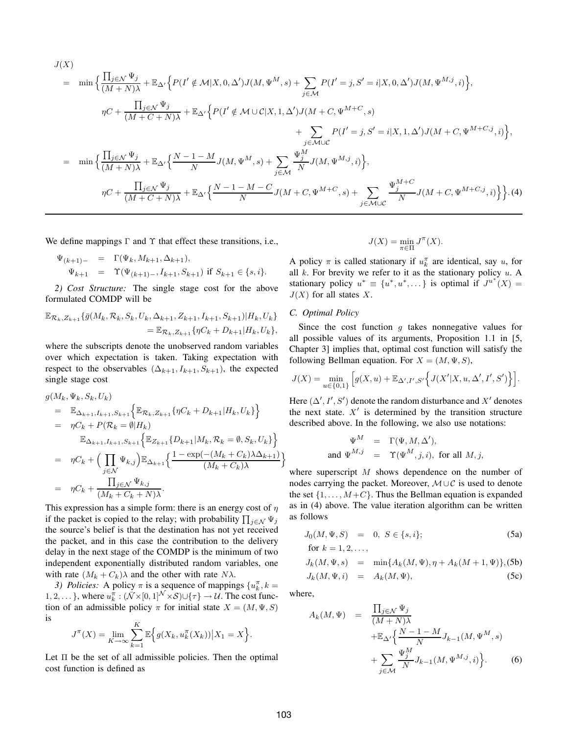$$
J(X)
$$
\n
$$
= \min \Big\{ \frac{\prod_{j \in \mathcal{N}} \Psi_j}{(M+N)\lambda} + \mathbb{E}_{\Delta'} \Big\{ P(I' \notin \mathcal{M}|X, 0, \Delta') J(M, \Psi^M, s) + \sum_{j \in \mathcal{M}} P(I' = j, S' = i|X, 0, \Delta') J(M, \Psi^{M,j}, i) \Big\},
$$
\n
$$
\eta C + \frac{\prod_{j \in \mathcal{N}} \Psi_j}{(M+C+N)\lambda} + \mathbb{E}_{\Delta'} \Big\{ P(I' \notin \mathcal{M} \cup \mathcal{C}|X, 1, \Delta') J(M+C, \Psi^{M+C}, s) + \sum_{j \in \mathcal{M} \cup \mathcal{C}} P(I' = j, S' = i|X, 1, \Delta') J(M+C, \Psi^{M+C,j}, i) \Big\},
$$
\n
$$
= \min \Big\{ \frac{\prod_{j \in \mathcal{N}} \Psi_j}{(M+N)\lambda} + \mathbb{E}_{\Delta'} \Big\{ \frac{N-1-M}{N} J(M, \Psi^M, s) + \sum_{j \in \mathcal{M}} \frac{\Psi_j^M}{N} J(M, \Psi^{M,j}, i) \Big\},
$$
\n
$$
\eta C + \frac{\prod_{j \in \mathcal{N}} \Psi_j}{(M+C+N)\lambda} + \mathbb{E}_{\Delta'} \Big\{ \frac{N-1-M-C}{N} J(M+C, \Psi^{M+C}, s) + \sum_{j \in \mathcal{M} \cup \mathcal{C}} \frac{\Psi_j^{M+C}}{N} J(M+C, \Psi^{M+C,j}, i) \Big\} \Big\}. (4)
$$

We define mappings  $\Gamma$  and  $\Upsilon$  that effect these transitions, i.e.,

$$
\Psi_{(k+1)-} = \Gamma(\Psi_k, M_{k+1}, \Delta_{k+1}),
$$
  
\n
$$
\Psi_{k+1} = \Upsilon(\Psi_{(k+1)-}, I_{k+1}, S_{k+1}) \text{ if } S_{k+1} \in \{s, i\}.
$$

*2) Cost Structure:* The single stage cost for the above formulated COMDP will be

$$
\mathbb{E}_{\mathcal{R}_k, Z_{k+1}} \{ \bar{g}(M_k, \mathcal{R}_k, S_k, U_k, \Delta_{k+1}, Z_{k+1}, I_{k+1}, S_{k+1}) | H_k, U_k \}
$$
  
= 
$$
\mathbb{E}_{\mathcal{R}_k, Z_{k+1}} \{ \eta C_k + D_{k+1} | H_k, U_k \},
$$

where the subscripts denote the unobserved random variables over which expectation is taken. Taking expectation with respect to the observables  $(\Delta_{k+1}, I_{k+1}, S_{k+1})$ , the expected single stage cost

$$
g(M_k, \Psi_k, S_k, U_k)
$$
  
=  $\mathbb{E}_{\Delta_{k+1}, I_{k+1}, S_{k+1}} \Big\{ \mathbb{E}_{\mathcal{R}_k, Z_{k+1}} \{ \eta C_k + D_{k+1} | H_k, U_k \} \Big\}$   
=  $\eta C_k + P(\mathcal{R}_k = \emptyset | H_k)$   
 $\mathbb{E}_{\Delta_{k+1}, I_{k+1}, S_{k+1}} \Big\{ \mathbb{E}_{Z_{k+1}} \{ D_{k+1} | M_k, \mathcal{R}_k = \emptyset, S_k, U_k \} \Big\}$   
=  $\eta C_k + \Big( \prod_{j \in \mathcal{N}} \Psi_{k,j} \Big) \mathbb{E}_{\Delta_{k+1}} \Big\{ \frac{1 - \exp(-(M_k + C_k) \lambda \Delta_{k+1})}{(M_k + C_k) \lambda} \Big\}$   
=  $\eta C_k + \frac{\prod_{j \in \mathcal{N}} \Psi_{k,j}}{(M_k + C_k + N) \lambda}.$ 

This expression has a simple form: there is an energy cost of  $\eta$ if the packet is copied to the relay; with probability  $\prod_{j \in \mathcal{N}} \Psi_j$ the source's belief is that the destination has not yet received the packet, and in this case the contribution to the delivery delay in the next stage of the COMDP is the minimum of two independent exponentially distributed random variables, one with rate  $(M_k + C_k)\lambda$  and the other with rate N $\lambda$ .

*3) Policies:* A policy  $\pi$  is a sequence of mappings  $\{u_k^{\pi}, k = \}$ 1, 2, ... }, where  $u_k^{\pi}: (\bar{\mathcal{N}} \times [0,1]^{\mathcal{N}} \times \mathcal{S}) \cup {\tau}$   $\rightarrow \mathcal{U}$ . The cost function of an admissible policy  $\pi$  for initial state  $X = (M, \Psi, S)$ is

$$
J^{\pi}(X) = \lim_{K \to \infty} \sum_{k=1}^{K} \mathbb{E}\Big\{g(X_k, u_k^{\pi}(X_k)) \big| X_1 = X\Big\}.
$$

Let  $\Pi$  be the set of all admissible policies. Then the optimal cost function is defined as

$$
J(X) = \min_{\pi \in \Pi} J^{\pi}(X).
$$

A policy  $\pi$  is called stationary if  $u_k^{\pi}$  are identical, say u, for all  $k$ . For brevity we refer to it as the stationary policy  $u$ . A stationary policy  $u^* \equiv \{u^*, u^*, \dots\}$  is optimal if  $J^{u^*}(X) =$  $J(X)$  for all states X.

#### *C. Optimal Policy*

Since the cost function  $g$  takes nonnegative values for all possible values of its arguments, Proposition 1.1 in [5, Chapter 3] implies that, optimal cost function will satisfy the following Bellman equation. For  $X = (M, \Psi, S)$ ,

$$
J(X) = \min_{u \in \{0,1\}} \left[ g(X, u) + \mathbb{E}_{\Delta', I', S'} \left\{ J(X'|X, u, \Delta', I', S') \right\} \right].
$$

Here  $(\Delta', I', S')$  denote the random disturbance and X' denotes the next state.  $X'$  is determined by the transition structure described above. In the following, we also use notations:

$$
\begin{array}{rcl}\n\Psi^M & = & \Gamma(\Psi, M, \Delta'), \\
\text{and } \Psi^{M,j} & = & \Upsilon(\Psi^M, j, i), \text{ for all } M, j,\n\end{array}
$$

where superscript M shows dependence on the number of nodes carrying the packet. Moreover,  $M \cup C$  is used to denote the set  $\{1, \ldots, M+C\}$ . Thus the Bellman equation is expanded as in (4) above. The value iteration algorithm can be written as follows

$$
J_0(M, \Psi, S) = 0, S \in \{s, i\};
$$
  
for  $k = 1, 2, ...$  (5a)

$$
J_k(M, \Psi, s) = \min\{A_k(M, \Psi), \eta + A_k(M + 1, \Psi)\}, (5b)
$$
  

$$
J_k(M, \Psi, i) = A_k(M, \Psi),
$$
 (5c)

where,

$$
A_k(M, \Psi) = \frac{\prod_{j \in \mathcal{N}} \Psi_j}{(M + N)\lambda} + \mathbb{E}_{\Delta'} \left\{ \frac{N - 1 - M}{N} J_{k-1}(M, \Psi^M, s) + \sum_{j \in \mathcal{M}} \frac{\Psi_j^M}{N} J_{k-1}(M, \Psi^{M,j}, i) \right\}.
$$
 (6)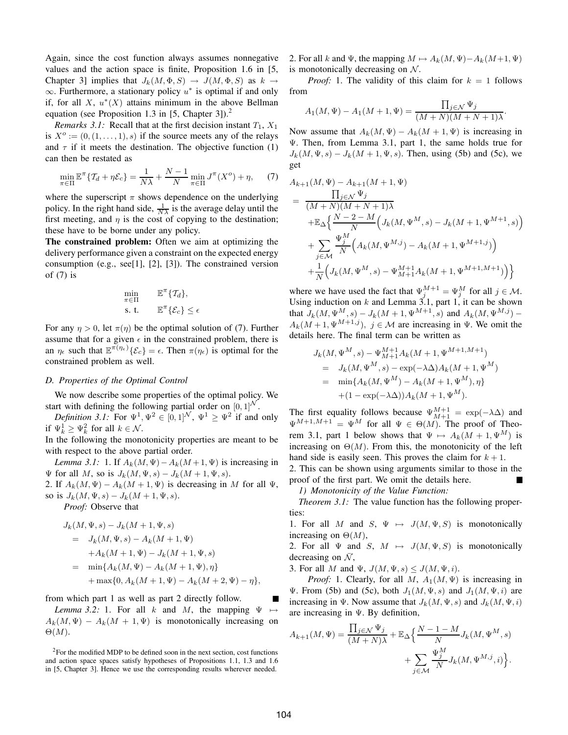Again, since the cost function always assumes nonnegative values and the action space is finite, Proposition 1.6 in [5, Chapter 3] implies that  $J_k(M, \Phi, S) \to J(M, \Phi, S)$  as  $k \to$  $\infty$ . Furthermore, a stationary policy  $u^*$  is optimal if and only if, for all  $X$ ,  $u^*(X)$  attains minimum in the above Bellman equation (see Proposition 1.3 in [5, Chapter 3]).<sup>2</sup>

*Remarks 3.1:* Recall that at the first decision instant  $T_1$ ,  $X_1$ is  $X^o := (0, (1, \ldots, 1), s)$  if the source meets any of the relays and  $\tau$  if it meets the destination. The objective function (1) can then be restated as

$$
\min_{\pi \in \Pi} \mathbb{E}^{\pi} \{ \mathcal{T}_d + \eta \mathcal{E}_c \} = \frac{1}{N\lambda} + \frac{N-1}{N} \min_{\pi \in \Pi} J^{\pi}(X^o) + \eta, \tag{7}
$$

where the superscript  $\pi$  shows dependence on the underlying policy. In the right hand side,  $\frac{1}{N\lambda}$  is the average delay until the first meeting, and  $\eta$  is the cost of copying to the destination; these have to be borne under any policy.

**The constrained problem:** Often we aim at optimizing the delivery performance given a constraint on the expected energy consumption (e.g., see[1], [2], [3]). The constrained version of  $(7)$  is

$$
\min_{\pi \in \Pi} \qquad \mathbb{E}^{\pi} \{ \mathcal{T}_d \},
$$
\n
$$
\text{s. t.} \qquad \mathbb{E}^{\pi} \{ \mathcal{E}_c \} \le \epsilon
$$

For any  $\eta > 0$ , let  $\pi(\eta)$  be the optimal solution of (7). Further assume that for a given  $\epsilon$  in the constrained problem, there is an  $\eta_{\epsilon}$  such that  $\mathbb{E}^{\pi(\eta_{\epsilon})}\{\mathcal{E}_{c}\} = \epsilon$ . Then  $\pi(\eta_{\epsilon})$  is optimal for the constrained problem as well.

#### *D. Properties of the Optimal Control*

We now describe some properties of the optimal policy. We start with defining the following partial order on  $[0, 1]^N$ .

*Definition 3.1:* For  $\Psi^1, \Psi^2 \in [0, 1]^{\mathcal{N}}, \Psi^1 \ge \Psi^2$  if and only if  $\Psi_k^1 \ge \Psi_k^2$  for all  $k \in \mathcal{N}$ .

In the following the monotonicity properties are meant to be with respect to the above partial order.

*Lemma 3.1:* 1. If  $A_k(M, \Psi) - A_k(M + 1, \Psi)$  is increasing in  $\Psi$  for all M, so is  $J_k(M, \Psi, s) - J_k(M + 1, \Psi, s)$ .

2. If  $A_k(M, \Psi) - A_k(M + 1, \Psi)$  is decreasing in M for all  $\Psi$ , so is  $J_k(M, \Psi, s) - J_k(M + 1, \Psi, s)$ .

*Proof:* Observe that

$$
J_k(M, \Psi, s) - J_k(M + 1, \Psi, s)
$$
  
=  $J_k(M, \Psi, s) - A_k(M + 1, \Psi)$   
+  $A_k(M + 1, \Psi) - J_k(M + 1, \Psi, s)$   
=  $\min\{A_k(M, \Psi) - A_k(M + 1, \Psi), \eta\}$   
+  $\max\{0, A_k(M + 1, \Psi) - A_k(M + 2, \Psi) - \eta\},$ 

from which part 1 as well as part 2 directly follow.

*Lemma 3.2:* 1. For all k and M, the mapping  $\Psi$  $A_k(M, \Psi) - A_k(M + 1, \Psi)$  is monotonically increasing on  $\Theta(M)$ .

 $2$ For the modified MDP to be defined soon in the next section, cost functions and action space spaces satisfy hypotheses of Propositions 1.1, 1.3 and 1.6 in [5, Chapter 3]. Hence we use the corresponding results wherever needed.

2. For all k and  $\Psi$ , the mapping  $M \mapsto A_k(M, \Psi) - A_k(M+1, \Psi)$ is monotonically decreasing on  $N$ .

*Proof:* 1. The validity of this claim for  $k = 1$  follows from

$$
A_1(M, \Psi) - A_1(M + 1, \Psi) = \frac{\prod_{j \in \mathcal{N}} \Psi_j}{(M + N)(M + N + 1)\lambda}
$$

.

Now assume that  $A_k(M, \Psi) - A_k(M + 1, \Psi)$  is increasing in Ψ. Then, from Lemma 3.1, part 1, the same holds true for  $J_k(M, \Psi, s) - J_k(M + 1, \Psi, s)$ . Then, using (5b) and (5c), we get

$$
A_{k+1}(M, \Psi) - A_{k+1}(M+1, \Psi)
$$
  
= 
$$
\frac{\prod_{j \in \mathcal{N}} \Psi_j}{(M+N)(M+N+1)\lambda}
$$
  
+
$$
\mathbb{E}_{\Delta} \Big\{ \frac{N-2-M}{N} \Big( J_k(M, \Psi^M, s) - J_k(M+1, \Psi^{M+1}, s) \Big)
$$
  
+
$$
\sum_{j \in \mathcal{M}} \frac{\Psi_j^M}{N} \Big( A_k(M, \Psi^{M,j}) - A_k(M+1, \Psi^{M+1,j}) \Big)
$$
  
+
$$
\frac{1}{N} \Big( J_k(M, \Psi^M, s) - \Psi_{M+1}^{M+1} A_k(M+1, \Psi^{M+1,M+1}) \Big) \Big\}
$$

where we have used the fact that  $\Psi_j^{M+1} = \Psi_j^M$  for all  $j \in \mathcal{M}$ . Using induction on  $k$  and Lemma 3.1, part 1, it can be shown that  $J_k(M, \Psi^M, s) - J_k(M+1, \Psi^{M+1}, s)$  and  $A_k(M, \Psi^{M,j}) A_k(M + 1, \Psi^{M+1,j}), j \in \mathcal{M}$  are increasing in  $\Psi$ . We omit the details here. The final term can be written as

$$
J_k(M, \Psi^M, s) - \Psi^{M+1}_{M+1} A_k(M+1, \Psi^{M+1,M+1})
$$
  
=  $J_k(M, \Psi^M, s) - \exp(-\lambda \Delta) A_k(M+1, \Psi^M)$   
=  $\min\{A_k(M, \Psi^M) - A_k(M+1, \Psi^M), \eta\}$   
+  $(1 - \exp(-\lambda \Delta)) A_k(M+1, \Psi^M).$ 

The first equality follows because  $\Psi_{M+1}^{M+1} = \exp(-\lambda \Delta)$  and  $\Psi^{M+1,M+1} = \Psi^M$  for all  $\Psi \in \Theta(M)$ . The proof of Theorem 3.1, part 1 below shows that  $\Psi \mapsto A_k(M + 1, \Psi^M)$  is increasing on  $\Theta(M)$ . From this, the monotonicity of the left hand side is easily seen. This proves the claim for  $k + 1$ .

2. This can be shown using arguments similar to those in the proof of the first part. We omit the details here.

*1) Monotonicity of the Value Function:*

*Theorem 3.1:* The value function has the following properties:

1. For all M and S,  $\Psi \mapsto J(M, \Psi, S)$  is monotonically increasing on  $\Theta(M)$ ,

2. For all  $\Psi$  and  $S$ ,  $M \mapsto J(M, \Psi, S)$  is monotonically decreasing on  $\bar{\mathcal{N}}$ ,

3. For all M and  $\Psi$ ,  $J(M, \Psi, s) \le J(M, \Psi, i)$ .

*Proof:* 1. Clearly, for all M,  $A_1(M, \Psi)$  is increasing in Ψ. From (5b) and (5c), both  $J_1(M, \Psi, s)$  and  $J_1(M, \Psi, i)$  are increasing in Ψ. Now assume that  $J_k(M, \Psi, s)$  and  $J_k(M, \Psi, i)$ are increasing in Ψ. By definition,

$$
A_{k+1}(M, \Psi) = \frac{\prod_{j \in \mathcal{N}} \Psi_j}{(M+N)\lambda} + \mathbb{E}_{\Delta} \Big\{ \frac{N-1-M}{N} J_k(M, \Psi^M, s) + \sum_{j \in \mathcal{M}} \frac{\Psi_j^M}{N} J_k(M, \Psi^{M,j}, i) \Big\}.
$$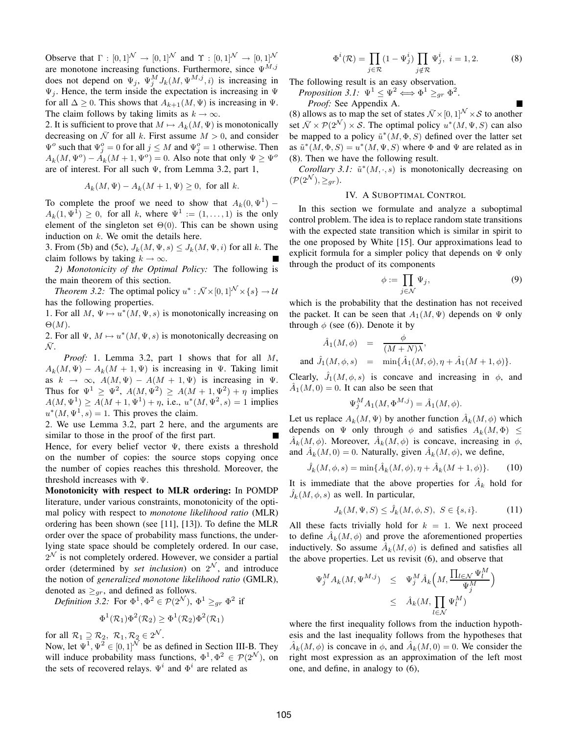Observe that  $\Gamma : [0,1]^{\mathcal{N}} \to [0,1]^{\mathcal{N}}$  and  $\Upsilon : [0,1]^{\mathcal{N}} \to [0,1]^{\mathcal{N}}$ are monotone increasing functions. Furthermore, since  $\Psi^{M,j}$ does not depend on  $\Psi_j$ ,  $\Psi_j^M J_k(M, \Psi^{M,j}, i)$  is increasing in  $\Psi_j$ . Hence, the term inside the expectation is increasing in  $\Psi$ for all  $\Delta \geq 0$ . This shows that  $A_{k+1}(M, \Psi)$  is increasing in  $\Psi$ . The claim follows by taking limits as  $k \to \infty$ .

2. It is sufficient to prove that  $M \mapsto A_k(M, \Psi)$  is monotonically decreasing on  $\overline{N}$  for all k. First assume  $M > 0$ , and consider  $\Psi^o$  such that  $\Psi^o_j = 0$  for all  $j \leq M$  and  $\Psi^o_j = 1$  otherwise. Then  $A_k(M, \Psi^o) - A_k(M + 1, \Psi^o) = 0$ . Also note that only  $\Psi \ge \Psi^o$ are of interest. For all such Ψ, from Lemma 3.2, part 1,

$$
A_k(M,\Psi)-A_k(M+1,\Psi)\geq 0, \text{ for all } k.
$$

To complete the proof we need to show that  $A_k(0, \Psi^1)$  –  $A_k(1, \Psi^1) \geq 0$ , for all k, where  $\Psi^1 := (1, \dots, 1)$  is the only element of the singleton set  $\Theta(0)$ . This can be shown using induction on  $k$ . We omit the details here.

3. From (5b) and (5c),  $J_k(M, \Psi, s) \leq J_k(M, \Psi, i)$  for all k. The claim follows by taking  $k \to \infty$ .

*2) Monotonicity of the Optimal Policy:* The following is the main theorem of this section.

*Theorem 3.2:* The optimal policy  $u^* : \bar{\mathcal{N}} \times [0,1]^{\mathcal{N}} \times \{s\} \to \mathcal{U}$ has the following properties.

1. For all  $M$ ,  $\Psi \mapsto u^*(M, \Psi, s)$  is monotonically increasing on  $\Theta(M).$ 

2. For all  $\Psi$ ,  $M \mapsto u^*(M, \Psi, s)$  is monotonically decreasing on  $\mathcal{N}.$ 

*Proof:* 1. Lemma 3.2, part 1 shows that for all M,  $A_k(M, \Psi) - A_k(M + 1, \Psi)$  is increasing in  $\Psi$ . Taking limit as  $k \to \infty$ ,  $A(M, \Psi) - A(M + 1, \Psi)$  is increasing in  $\Psi$ . Thus for  $\Psi^1 \ge \Psi^2$ ,  $A(M, \Psi^2) \ge A(M+1, \Psi^2) + \eta$  implies  $A(M, \Psi^1) \ge A(M + 1, \Psi^1) + \eta$ , i.e.,  $u^*(M, \Psi^2, s) = 1$  implies  $u^*(M, \Psi^1, s) = 1$ . This proves the claim.

2. We use Lemma 3.2, part 2 here, and the arguments are similar to those in the proof of the first part.

Hence, for every belief vector  $\Psi$ , there exists a threshold on the number of copies: the source stops copying once the number of copies reaches this threshold. Moreover, the threshold increases with Ψ.

**Monotonicity with respect to MLR ordering:** In POMDP literature, under various constraints, monotonicity of the optimal policy with respect to *monotone likelihood ratio* (MLR) ordering has been shown (see [11], [13]). To define the MLR order over the space of probability mass functions, the underlying state space should be completely ordered. In our case,  $2^{\mathcal{N}}$  is not completely ordered. However, we consider a partial order (determined by *set inclusion*) on  $2^N$ , and introduce the notion of *generalized monotone likelihood ratio* (GMLR), denoted as  $\geq_{gr}$ , and defined as follows.

*Definition 3.2:* For  $\Phi^1, \Phi^2 \in \mathcal{P}(2^{\mathcal{N}}), \Phi^1 \geq_{gr} \Phi^2$  if

$$
\Phi^1(\mathcal{R}_1)\Phi^2(\mathcal{R}_2)\geq \Phi^1(\mathcal{R}_2)\Phi^2(\mathcal{R}_1)
$$

for all  $\mathcal{R}_1 \supseteq \mathcal{R}_2$ ,  $\mathcal{R}_1, \mathcal{R}_2 \in 2^{\mathcal{N}}$ .

Now, let  $\Psi^1, \Psi^2 \in [0, 1]^{\mathcal{N}}$  be as defined in Section III-B. They will induce probability mass functions,  $\Phi^1, \Phi^2 \in \mathcal{P}(2^{\mathcal{N}})$ , on the sets of recovered relays.  $\Psi^i$  and  $\Phi^i$  are related as

$$
\Phi^{i}(\mathcal{R}) = \prod_{j \in \mathcal{R}} (1 - \Psi_{j}^{i}) \prod_{j \notin \mathcal{R}} \Psi_{j}^{i}, \ i = 1, 2. \tag{8}
$$

The following result is an easy observation.

*Proposition 3.1*:  $\Psi^1 \leq \Psi^2 \Longleftrightarrow \Phi^1 \geq_{gr} \Phi^2$ .

*Proof:* See Appendix A.

(8) allows as to map the set of states  $\overline{\mathcal{N}} \times [0, 1]^{\mathcal{N}} \times \mathcal{S}$  to another set  $\bar{\mathcal{N}} \times \mathcal{P}(2^{\mathcal{N}}) \times \mathcal{S}$ . The optimal policy  $u^*(M, \Psi, S)$  can also be mapped to a policy  $\tilde{u}^*(M, \Phi, S)$  defined over the latter set as  $\tilde{u}^*(M, \Phi, S) = u^*(M, \Psi, S)$  where  $\Phi$  and  $\Psi$  are related as in (8). Then we have the following result.

*Corollary 3.1:*  $\tilde{u}^*(M, \cdot, s)$  is monotonically decreasing on  $(\mathcal{P}(2^{\mathcal{N}}), \geq_{qr}).$ 

#### IV. A SUBOPTIMAL CONTROL

In this section we formulate and analyze a suboptimal control problem. The idea is to replace random state transitions with the expected state transition which is similar in spirit to the one proposed by White [15]. Our approximations lead to explicit formula for a simpler policy that depends on  $\Psi$  only through the product of its components

$$
\phi := \prod_{j \in \mathcal{N}} \Psi_j,\tag{9}
$$

which is the probability that the destination has not received the packet. It can be seen that  $A_1(M, \Psi)$  depends on  $\Psi$  only through  $\phi$  (see (6)). Denote it by

$$
\hat{A}_1(M,\phi) = \frac{\phi}{(M+N)\lambda},
$$
  
and  $\hat{J}_1(M,\phi,s) = \min{\{\hat{A}_1(M,\phi), \eta + \hat{A}_1(M+1,\phi)\}}.$ 

Clearly,  $\hat{J}_1(M, \phi, s)$  is concave and increasing in  $\phi$ , and  $\hat{A}_1(M, 0) = 0$ . It can also be seen that

$$
\Psi_j^M A_1(M, \Phi^{M,j}) = \hat{A}_1(M, \phi).
$$

Let us replace  $A_k(M, \Psi)$  by another function  $\hat{A}_k(M, \phi)$  which depends on  $\Psi$  only through  $\phi$  and satisfies  $A_k(M, \Phi) \leq$  $\hat{A}_k(M, \phi)$ . Moreover,  $\hat{A}_k(M, \phi)$  is concave, increasing in  $\phi$ , and  $\hat{A}_k(M,0) = 0$ . Naturally, given  $\hat{A}_k(M,\phi)$ , we define,

$$
\hat{J}_k(M,\phi,s) = \min\{\hat{A}_k(M,\phi), \eta + \hat{A}_k(M+1,\phi)\}.
$$
 (10)

It is immediate that the above properties for  $A_k$  hold for  $\hat{J}_k(M, \phi, s)$  as well. In particular,

$$
J_k(M, \Psi, S) \le \hat{J}_k(M, \phi, S), \ S \in \{s, i\}.
$$
 (11)

All these facts trivially hold for  $k = 1$ . We next proceed to define  $\hat{A}_k(M, \phi)$  and prove the aforementioned properties inductively. So assume  $\hat{A}_k(M, \phi)$  is defined and satisfies all the above properties. Let us revisit (6), and observe that

$$
\Psi_j^M A_k(M, \Psi^{M,j}) \leq \Psi_j^M \hat{A}_k \left( M, \frac{\prod_{l \in \mathcal{N}} \Psi_l^M}{\Psi_j^M} \right) \leq \hat{A}_k(M, \prod_{l \in \mathcal{N}} \Psi_l^M)
$$

where the first inequality follows from the induction hypothesis and the last inequality follows from the hypotheses that  $\hat{A}_k(M, \phi)$  is concave in  $\phi$ , and  $\hat{A}_k(M, 0) = 0$ . We consider the right most expression as an approximation of the left most one, and define, in analogy to (6),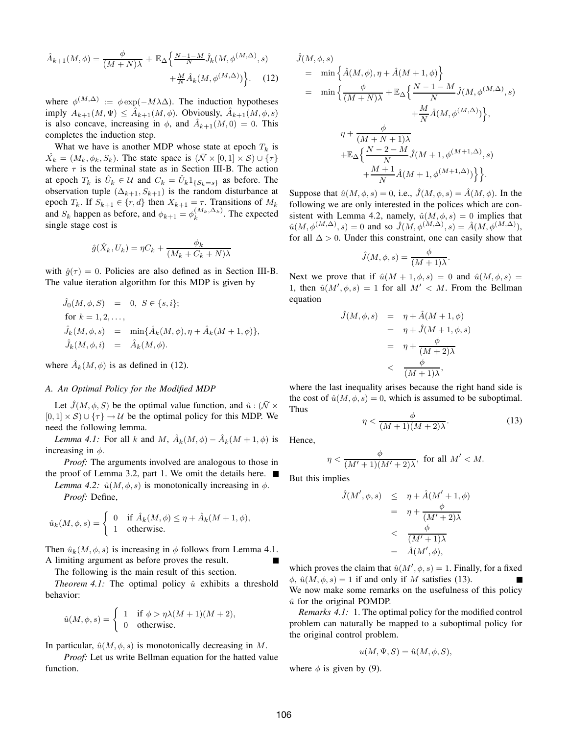$$
\hat{A}_{k+1}(M,\phi) = \frac{\phi}{(M+N)\lambda} + \mathbb{E}_{\Delta} \left\{ \frac{N-1-M}{N} \hat{J}_k(M,\phi^{(M,\Delta)},s) + \frac{M}{N} \hat{A}_k(M,\phi^{(M,\Delta)}) \right\}.
$$
 (12)

where  $\phi^{(M,\Delta)} := \phi \exp(-M\lambda\Delta)$ . The induction hypotheses imply  $A_{k+1}(M, \Psi) \leq \hat{A}_{k+1}(M, \phi)$ . Obviously,  $\hat{A}_{k+1}(M, \phi, s)$ is also concave, increasing in  $\phi$ , and  $\hat{A}_{k+1}(M,0) = 0$ . This completes the induction step.

What we have is another MDP whose state at epoch  $T_k$  is  $\hat{X_k} = (M_k, \phi_k, S_k)$ . The state space is  $(\bar{\mathcal{N}} \times [0, 1] \times \mathcal{S}) \cup {\tau}$ where  $\tau$  is the terminal state as in Section III-B. The action at epoch  $T_k$  is  $\hat{U}_k \in \mathcal{U}$  and  $C_k = \hat{U}_k \mathbb{1}_{\{S_k = s\}}$  as before. The observation tuple  $(\Delta_{k+1}, S_{k+1})$  is the random disturbance at epoch  $T_k$ . If  $S_{k+1} \in \{r, d\}$  then  $X_{k+1} = \tau$ . Transitions of  $M_k$ and  $S_k$  happen as before, and  $\phi_{k+1} = \phi_k^{(M_k, \Delta_k)}$  $k^{(M_k, \Delta_k)}$ . The expected single stage cost is

$$
\hat{g}(\hat{X}_k, U_k) = \eta C_k + \frac{\phi_k}{(M_k + C_k + N)\lambda}
$$

with  $\hat{g}(\tau) = 0$ . Policies are also defined as in Section III-B. The value iteration algorithm for this MDP is given by

$$
\label{eq:2.1} \begin{array}{rcl} \hat{J}_0(M,\phi,S) & = & 0, \ S \in \{s,i\}; \\ \text{for } k=1,2,\ldots, \\ \hat{J}_k(M,\phi,s) & = & \min\{\hat{A}_k(M,\phi),\eta+\hat{A}_k(M+1,\phi)\}, \\ \hat{J}_k(M,\phi,i) & = & \hat{A}_k(M,\phi). \end{array}
$$

where  $\hat{A}_k(M, \phi)$  is as defined in (12).

#### *A. An Optimal Policy for the Modified MDP*

Let  $\hat{J}(M, \phi, S)$  be the optimal value function, and  $\hat{u} : (\bar{N} \times \bar{S})$  $[0, 1] \times S$ ) ∪  $\{\tau\} \rightarrow U$  be the optimal policy for this MDP. We need the following lemma.

*Lemma 4.1*: For all k and M,  $\hat{A}_k(M, \phi) - \hat{A}_k(M + 1, \phi)$  is increasing in  $\phi$ .

*Proof:* The arguments involved are analogous to those in the proof of Lemma 3.2, part 1. We omit the details here.

*Lemma 4.2:*  $\hat{u}(M, \phi, s)$  is monotonically increasing in  $\phi$ .

*Proof:* Define,

$$
\hat{u}_k(M,\phi,s) = \begin{cases} 0 & \text{if } \hat{A}_k(M,\phi) \le \eta + \hat{A}_k(M+1,\phi), \\ 1 & \text{otherwise.} \end{cases}
$$

Then  $\hat{u}_k(M, \phi, s)$  is increasing in  $\phi$  follows from Lemma 4.1. A limiting argument as before proves the result.

The following is the main result of this section.

*Theorem 4.1:* The optimal policy  $\hat{u}$  exhibits a threshold behavior:

$$
\hat{u}(M,\phi,s) = \begin{cases} 1 & \text{if } \phi > \eta \lambda (M+1)(M+2), \\ 0 & \text{otherwise.} \end{cases}
$$

In particular,  $\hat{u}(M, \phi, s)$  is monotonically decreasing in M.

*Proof:* Let us write Bellman equation for the hatted value function.

$$
\hat{J}(M,\phi,s)
$$
\n
$$
= \min \left\{ \hat{A}(M,\phi), \eta + \hat{A}(M+1,\phi) \right\}
$$
\n
$$
= \min \left\{ \frac{\phi}{(M+N)\lambda} + \mathbb{E}_{\Delta} \left\{ \frac{N-1-M}{N} \hat{J}(M,\phi^{(M,\Delta)},s) + \frac{M}{N} \hat{A}(M,\phi^{(M,\Delta)}) \right\}, \right\}
$$
\n
$$
\eta + \frac{\phi}{(M+N+1)\lambda}
$$
\n
$$
+ \mathbb{E}_{\Delta} \left\{ \frac{N-2-M}{N} \hat{J}(M+1,\phi^{(M+1,\Delta)},s) + \frac{M+1}{N} \hat{A}(M+1,\phi^{(M+1,\Delta)}) \right\} \right\}.
$$

Suppose that  $\hat{u}(M, \phi, s) = 0$ , i.e.,  $\hat{J}(M, \phi, s) = \hat{A}(M, \phi)$ . In the following we are only interested in the polices which are consistent with Lemma 4.2, namely,  $\hat{u}(M, \phi, s) = 0$  implies that  $\hat{u}(M, \phi^{(M,\Delta)}, s) = 0$  and so  $\hat{J}(M, \phi^{(M,\Delta)}, s) = \hat{A}(M, \phi^{(M,\Delta)}),$ for all  $\Delta > 0$ . Under this constraint, one can easily show that

$$
\hat{J}(M,\phi,s) = \frac{\phi}{(M+1)\lambda}.
$$

Next we prove that if  $\hat{u}(M + 1, \phi, s) = 0$  and  $\hat{u}(M, \phi, s) = 0$ 1, then  $\hat{u}(M', \phi, s) = 1$  for all  $M' < M$ . From the Bellman equation

$$
\hat{J}(M,\phi,s) = \eta + \hat{A}(M+1,\phi)
$$
  
=  $\eta + \hat{J}(M+1,\phi,s)$   
=  $\eta + \frac{\phi}{(M+2)\lambda}$   
<  $\frac{\phi}{(M+1)\lambda}$ ,

where the last inequality arises because the right hand side is the cost of  $\hat{u}(M, \phi, s) = 0$ , which is assumed to be suboptimal. Thus

$$
\eta < \frac{\phi}{(M+1)(M+2)\lambda}.\tag{13}
$$

Hence,

$$
\eta < \frac{\phi}{(M'+1)(M'+2)\lambda}, \text{ for all } M' < M.
$$

But this implies

$$
\hat{J}(M', \phi, s) \leq \eta + \hat{A}(M' + 1, \phi)
$$

$$
= \eta + \frac{\phi}{(M' + 2)\lambda}
$$

$$
< \frac{\phi}{(M' + 1)\lambda}
$$

$$
= \hat{A}(M', \phi),
$$

which proves the claim that  $\hat{u}(M', \phi, s) = 1$ . Finally, for a fixed  $\phi$ ,  $\hat{u}(M, \phi, s) = 1$  if and only if M satisfies (13). We now make some remarks on the usefulness of this policy  $\hat{u}$  for the original POMDP.

*Remarks 4.1:* 1. The optimal policy for the modified control problem can naturally be mapped to a suboptimal policy for the original control problem.

$$
u(M, \Psi, S) = \hat{u}(M, \phi, S),
$$

where  $\phi$  is given by (9).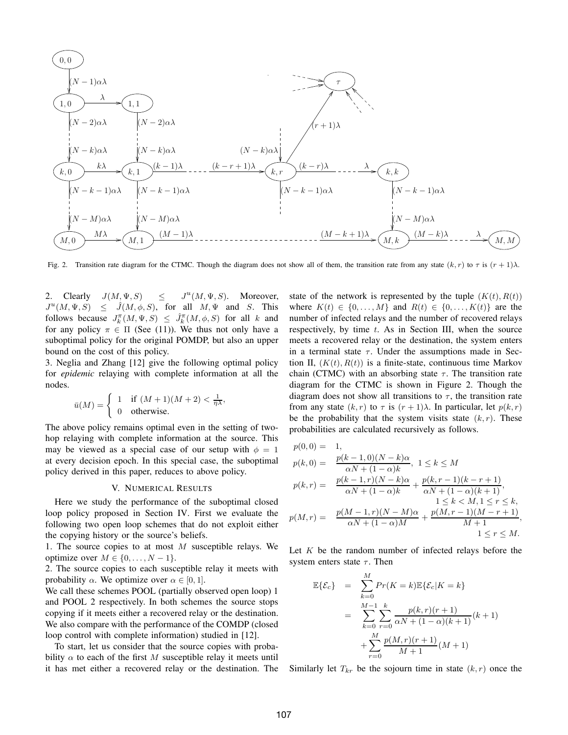

Fig. 2. Transition rate diagram for the CTMC. Though the diagram does not show all of them, the transition rate from any state  $(k, r)$  to  $\tau$  is  $(r + 1)\lambda$ .

2. Clearly  $J(M, \Psi, S) \leq$  $^{u}(M, \Psi, S)$ . Moreover,  $J^u(M, \Psi, S) \leq \hat{J}(M, \phi, S)$ , for all  $M, \Psi$  and S. This follows because  $J_k^{\pi}(M, \Psi, S) \leq \hat{J}_k^{\pi}(M, \phi, S)$  for all k and for any policy  $\pi \in \Pi$  (See (11)). We thus not only have a suboptimal policy for the original POMDP, but also an upper bound on the cost of this policy.

3. Neglia and Zhang [12] give the following optimal policy for *epidemic* relaying with complete information at all the nodes.

$$
\bar{u}(M) = \begin{cases} 1 & \text{if } (M+1)(M+2) < \frac{1}{\eta \lambda}, \\ 0 & \text{otherwise.} \end{cases}
$$

The above policy remains optimal even in the setting of twohop relaying with complete information at the source. This may be viewed as a special case of our setup with  $\phi = 1$ at every decision epoch. In this special case, the suboptimal policy derived in this paper, reduces to above policy.

#### V. NUMERICAL RESULTS

Here we study the performance of the suboptimal closed loop policy proposed in Section IV. First we evaluate the following two open loop schemes that do not exploit either the copying history or the source's beliefs.

1. The source copies to at most  $M$  susceptible relays. We optimize over  $M \in \{0, \ldots, N-1\}.$ 

2. The source copies to each susceptible relay it meets with probability  $\alpha$ . We optimize over  $\alpha \in [0, 1]$ .

We call these schemes POOL (partially observed open loop) 1 and POOL 2 respectively. In both schemes the source stops copying if it meets either a recovered relay or the destination. We also compare with the performance of the COMDP (closed loop control with complete information) studied in [12].

To start, let us consider that the source copies with probability  $\alpha$  to each of the first M susceptible relay it meets until it has met either a recovered relay or the destination. The

state of the network is represented by the tuple  $(K(t), R(t))$ where  $K(t) \in \{0, ..., M\}$  and  $R(t) \in \{0, ..., K(t)\}$  are the number of infected relays and the number of recovered relays respectively, by time  $t$ . As in Section III, when the source meets a recovered relay or the destination, the system enters in a terminal state  $\tau$ . Under the assumptions made in Section II,  $(K(t), R(t))$  is a finite-state, continuous time Markov chain (CTMC) with an absorbing state  $\tau$ . The transition rate diagram for the CTMC is shown in Figure 2. Though the diagram does not show all transitions to  $\tau$ , the transition rate from any state  $(k, r)$  to  $\tau$  is  $(r + 1)\lambda$ . In particular, let  $p(k, r)$ be the probability that the system visits state  $(k, r)$ . These probabilities are calculated recursively as follows.

$$
p(0,0) = 1,
$$
  
\n
$$
p(k,0) = \frac{p(k-1,0)(N-k)\alpha}{\alpha N + (1-\alpha)k}, 1 \le k \le M
$$
  
\n
$$
p(k,r) = \frac{p(k-1,r)(N-k)\alpha}{\alpha N + (1-\alpha)k} + \frac{p(k,r-1)(k-r+1)}{\alpha N + (1-\alpha)(k+1)},
$$
  
\n
$$
1 \le k < M, 1 \le r \le k,
$$
  
\n
$$
p(M,r) = \frac{p(M-1,r)(N-M)\alpha}{\alpha N + (1-\alpha)M} + \frac{p(M,r-1)(M-r+1)}{M+1},
$$
  
\n
$$
1 \le r \le M.
$$

Let  $K$  be the random number of infected relays before the system enters state  $\tau$ . Then

$$
\mathbb{E}\{\mathcal{E}_c\} = \sum_{k=0}^{M} Pr(K=k)\mathbb{E}\{\mathcal{E}_c|K=k\}
$$

$$
= \sum_{k=0}^{M-1} \sum_{r=0}^{k} \frac{p(k,r)(r+1)}{\alpha N + (1-\alpha)(k+1)}(k+1)
$$

$$
+ \sum_{r=0}^{M} \frac{p(M,r)(r+1)}{M+1}(M+1)
$$

Similarly let  $T_{kr}$  be the sojourn time in state  $(k, r)$  once the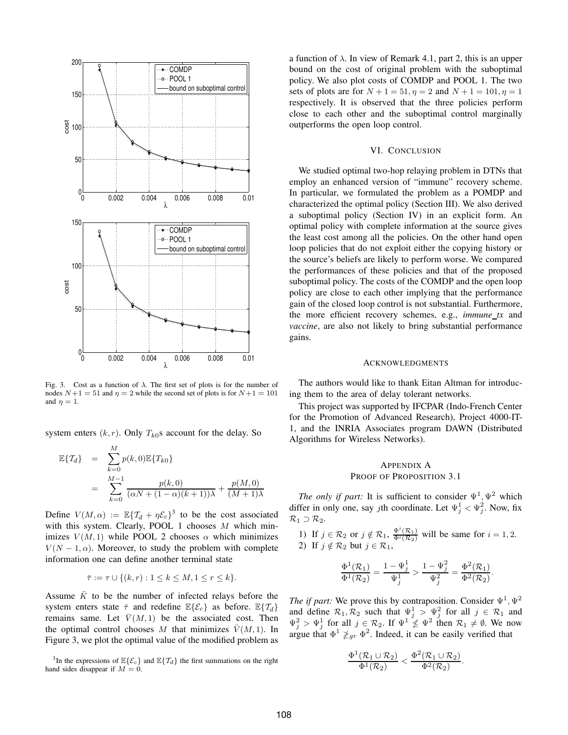

Fig. 3. Cost as a function of  $\lambda$ . The first set of plots is for the number of nodes  $N+1 = 51$  and  $\eta = 2$  while the second set of plots is for  $N+1 = 101$ and  $\eta = 1$ .

system enters  $(k, r)$ . Only  $T_{k0}$ s account for the delay. So

$$
\mathbb{E}\{T_d\} = \sum_{k=0}^{M} p(k,0) \mathbb{E}\{T_{k0}\}\
$$
  
= 
$$
\sum_{k=0}^{M-1} \frac{p(k,0)}{(\alpha N + (1-\alpha)(k+1))\lambda} + \frac{p(M,0)}{(M+1)\lambda}
$$

Define  $V(M, \alpha) := \mathbb{E} \{ T_d + \eta \mathcal{E}_c \}^3$  to be the cost associated with this system. Clearly, POOL 1 chooses  $M$  which minimizes  $V(M, 1)$  while POOL 2 chooses  $\alpha$  which minimizes  $V(N-1, \alpha)$ . Moreover, to study the problem with complete information one can define another terminal state

$$
\bar{\tau} := \tau \cup \{ (k, r) : 1 \le k \le M, 1 \le r \le k \}.
$$

Assume  $\overline{K}$  to be the number of infected relays before the system enters state  $\bar{\tau}$  and redefine  $\mathbb{E}\{\mathcal{E}_c\}$  as before.  $\mathbb{E}\{\mathcal{T}_d\}$ remains same. Let  $\bar{V}(M, 1)$  be the associated cost. Then the optimal control chooses M that minimizes  $\bar{V}(M, 1)$ . In Figure 3, we plot the optimal value of the modified problem as

<sup>3</sup>In the expressions of  $\mathbb{E}\{\mathcal{E}_c\}$  and  $\mathbb{E}\{\mathcal{T}_d\}$  the first summations on the right hand sides disappear if  $M = 0$ .

a function of  $\lambda$ . In view of Remark 4.1, part 2, this is an upper bound on the cost of original problem with the suboptimal policy. We also plot costs of COMDP and POOL 1. The two sets of plots are for  $N + 1 = 51$ ,  $\eta = 2$  and  $N + 1 = 101$ ,  $\eta = 1$ respectively. It is observed that the three policies perform close to each other and the suboptimal control marginally outperforms the open loop control.

#### VI. CONCLUSION

We studied optimal two-hop relaying problem in DTNs that employ an enhanced version of "immune" recovery scheme. In particular, we formulated the problem as a POMDP and characterized the optimal policy (Section III). We also derived a suboptimal policy (Section IV) in an explicit form. An optimal policy with complete information at the source gives the least cost among all the policies. On the other hand open loop policies that do not exploit either the copying history or the source's beliefs are likely to perform worse. We compared the performances of these policies and that of the proposed suboptimal policy. The costs of the COMDP and the open loop policy are close to each other implying that the performance gain of the closed loop control is not substantial. Furthermore, the more efficient recovery schemes, e.g., *immune tx* and *vaccine*, are also not likely to bring substantial performance gains.

#### ACKNOWLEDGMENTS

The authors would like to thank Eitan Altman for introducing them to the area of delay tolerant networks.

This project was supported by IFCPAR (Indo-French Center for the Promotion of Advanced Research), Project 4000-IT-1, and the INRIA Associates program DAWN (Distributed Algorithms for Wireless Networks).

#### APPENDIX A

#### PROOF OF PROPOSITION 3.1

*The only if part:* It is sufficient to consider  $\Psi^1$ ,  $\Psi^2$  which differ in only one, say *j*th coordinate. Let  $\Psi_j^1 < \Psi_j^2$ . Now, fix  $\mathcal{R}_1 \supset \mathcal{R}_2$ .

1) If  $j \in \mathcal{R}_2$  or  $j \notin \mathcal{R}_1$ ,  $\frac{\Phi^i(\mathcal{R}_1)}{\Phi^i(\mathcal{R}_2)}$  will be same for  $i = 1, 2$ . 2) If  $j \notin \mathcal{R}_2$  but  $j \in \mathcal{R}_1$ ,

$$
\frac{\Phi^1(\mathcal{R}_1)}{\Phi^1(\mathcal{R}_2)} = \frac{1-\Psi_j^1}{\Psi_j^1} > \frac{1-\Psi_j^2}{\Psi_j^2} = \frac{\Phi^2(\mathcal{R}_1)}{\Phi^2(\mathcal{R}_2)}.
$$

*The if part:* We prove this by contraposition. Consider  $\Psi^1$ ,  $\Psi^2$ and define  $\mathcal{R}_1, \mathcal{R}_2$  such that  $\Psi_j^1 > \Psi_j^2$  for all  $j \in \mathcal{R}_1$  and  $\Psi_j^2 > \Psi_j^1$  for all  $j \in \mathcal{R}_2$ . If  $\Psi^1 \nleq \Psi^2$  then  $\mathcal{R}_1 \neq \emptyset$ . We now argue that  $\Phi^1 \not\geq_{gr} \Phi^2$ . Indeed, it can be easily verified that

$$
\frac{\Phi^1(\mathcal{R}_1\cup\mathcal{R}_2)}{\Phi^1(\mathcal{R}_2)}<\frac{\Phi^2(\mathcal{R}_1\cup\mathcal{R}_2)}{\Phi^2(\mathcal{R}_2)}.
$$